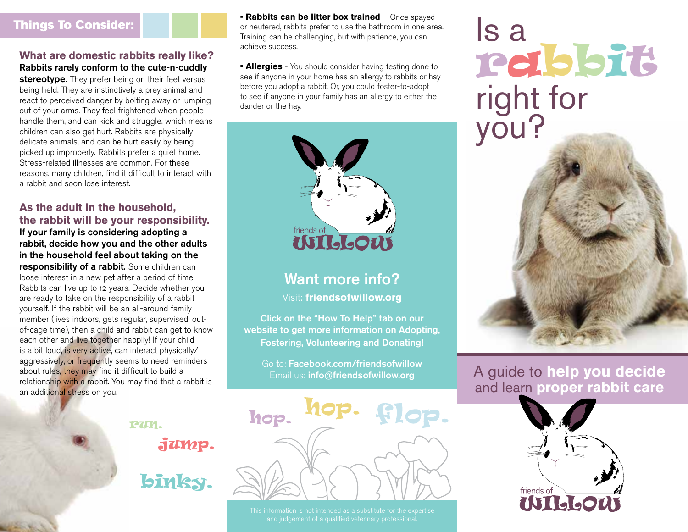### Things To Consider:

#### **What are domestic rabbits really like?** Rabbits rarely conform to the cute-n-cuddly

stereotype. They prefer being on their feet versus being held. They are instinctively a prey animal and react to perceived danger by bolting away or jumping out of your arms. They feel frightened when people handle them, and can kick and struggle, which means children can also get hurt. Rabbits are physically delicate animals, and can be hurt easily by being picked up improperly. Rabbits prefer a quiet home. Stress-related illnesses are common. For these reasons, many children, find it difficult to interact with a rabbit and soon lose interest.

### **As the adult in the household, the rabbit will be your responsibility.**

If your family is considering adopting a rabbit, decide how you and the other adults in the household feel about taking on the responsibility of a rabbit. Some children can loose interest in a new pet after a period of time. Rabbits can live up to 12 years. Decide whether you are ready to take on the responsibility of a rabbit yourself. If the rabbit will be an all-around family member (lives indoors, gets regular, supervised, outof-cage time), then a child and rabbit can get to know each other and live together happily! If your child is a bit loud, is very active, can interact physically/ aggressively, or frequently seems to need reminders about rules, they may find it difficult to build a relationship with a rabbit. You may find that a rabbit is an additional stress on you.

**• Rabbits can be litter box trained** – Once spayed or neutered, rabbits prefer to use the bathroom in one area. Training can be challenging, but with patience, you can achieve success.

**• Allergies** - You should consider having testing done to see if anyone in your home has an allergy to rabbits or hay before you adopt a rabbit. Or, you could foster-to-adopt to see if anyone in your family has an allergy to either the dander or the hay.



# Want more info?

Visit: **friendsofwillow.org**

Click on the "How To Help" tab on our website to get more information on Adopting, Fostering, Volunteering and Donating!

Go to: Facebook.com/friendsofwillow Email us: info@friendsofwillow.org

hop. flop. hop.

Is a rabbit right for you?



## A guide to **help you decide** and learn **proper rabbit care**



127M.

jump.

binky.